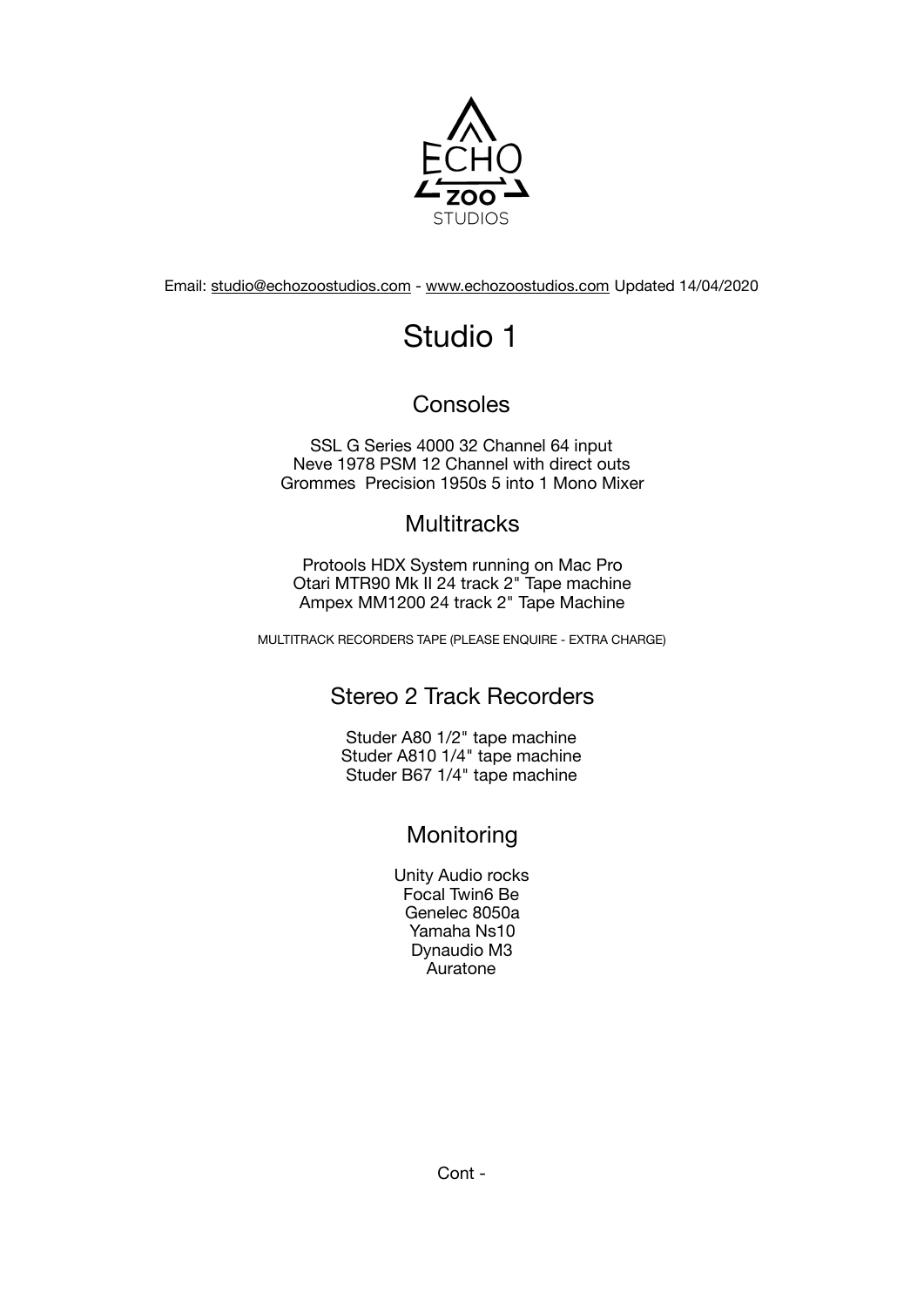

Email: [studio@echozoostudios.com](mailto:studio@echozoostudios.com) - [www.echozoostudios.com](http://www.echozoostudios.com) Updated 14/04/2020

# Studio 1

# Consoles

SSL G Series 4000 32 Channel 64 input Neve 1978 PSM 12 Channel with direct outs Grommes Precision 1950s 5 into 1 Mono Mixer

# **Multitracks**

Protools HDX System running on Mac Pro Otari MTR90 Mk II 24 track 2" Tape machine Ampex MM1200 24 track 2" Tape Machine

MULTITRACK RECORDERS TAPE (PLEASE ENQUIRE - EXTRA CHARGE)

# Stereo 2 Track Recorders

Studer A80 1/2" tape machine Studer A810 1/4" tape machine Studer B67 1/4" tape machine

# Monitoring

Unity Audio rocks Focal Twin6 Be Genelec 8050a Yamaha Ns10 Dynaudio M3 Auratone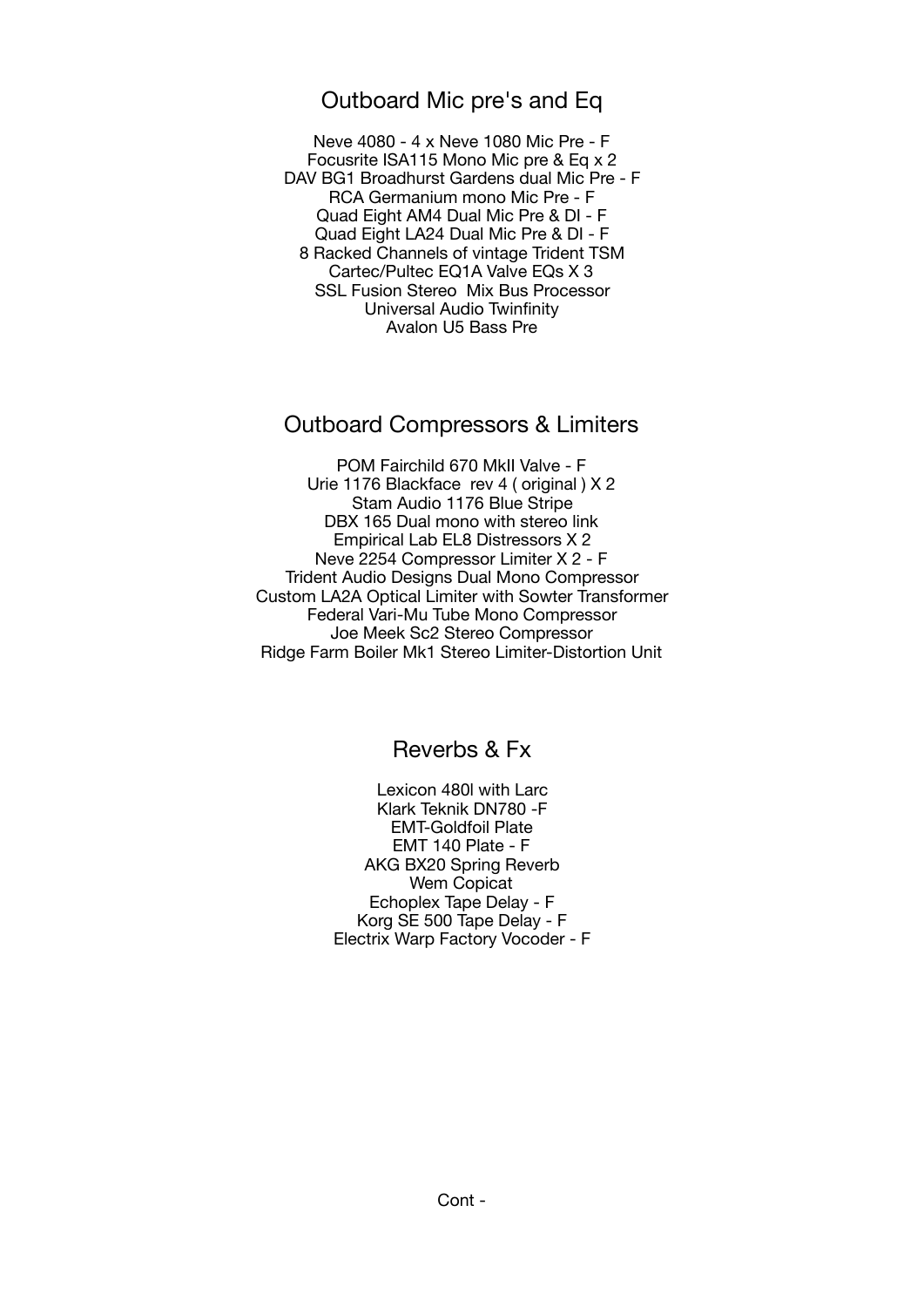## Outboard Mic pre's and Eq

Neve 4080 - 4 x Neve 1080 Mic Pre - F Focusrite ISA115 Mono Mic pre & Eq x 2 DAV BG1 Broadhurst Gardens dual Mic Pre - F RCA Germanium mono Mic Pre - F Quad Eight AM4 Dual Mic Pre & DI - F Quad Eight LA24 Dual Mic Pre & DI - F 8 Racked Channels of vintage Trident TSM Cartec/Pultec EQ1A Valve EQs X 3 SSL Fusion Stereo Mix Bus Processor Universal Audio Twinfinity Avalon U5 Bass Pre

## Outboard Compressors & Limiters

POM Fairchild 670 MkII Valve - F Urie 1176 Blackface rev 4 ( original ) X 2 Stam Audio 1176 Blue Stripe DBX 165 Dual mono with stereo link Empirical Lab EL8 Distressors X 2 Neve 2254 Compressor Limiter X 2 - F Trident Audio Designs Dual Mono Compressor Custom LA2A Optical Limiter with Sowter Transformer Federal Vari-Mu Tube Mono Compressor Joe Meek Sc2 Stereo Compressor Ridge Farm Boiler Mk1 Stereo Limiter-Distortion Unit

# Reverbs & Fx

Lexicon 480l with Larc Klark Teknik DN780 -F EMT-Goldfoil Plate EMT 140 Plate - F AKG BX20 Spring Reverb Wem Copicat Echoplex Tape Delay - F Korg SE 500 Tape Delay - F Electrix Warp Factory Vocoder - F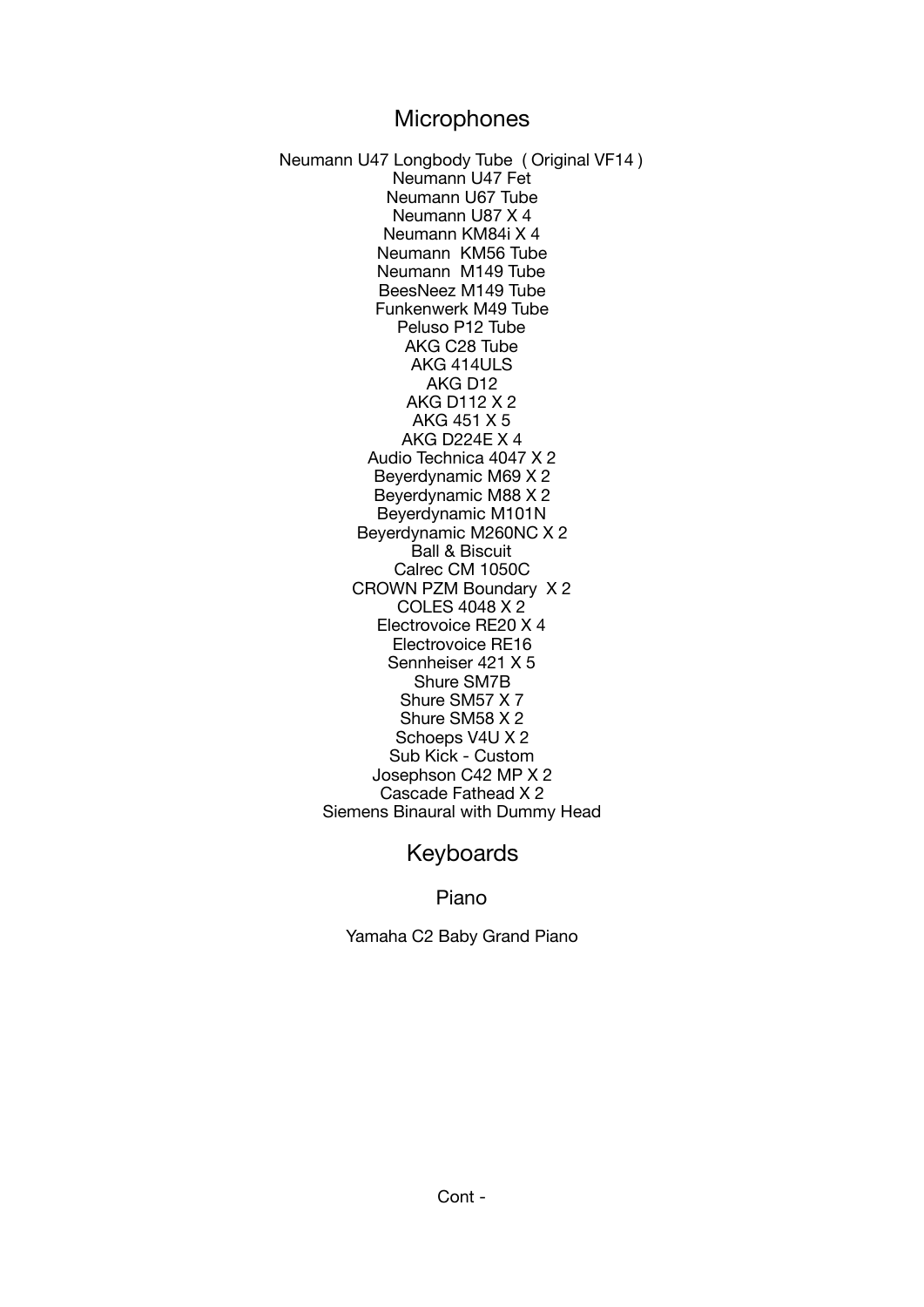## **Microphones**

Neumann U47 Longbody Tube ( Original VF14 ) Neumann U47 Fet Neumann U67 Tube Neumann U87 X 4 Neumann KM84i X 4 Neumann KM56 Tube Neumann M149 Tube BeesNeez M149 Tube Funkenwerk M49 Tube Peluso P12 Tube AKG C28 Tube AKG 414ULS AKG D12 AKG D112 X 2 AKG 451 X 5 AKG D224E X 4 Audio Technica 4047 X 2 Beyerdynamic M69 X 2 Beyerdynamic M88 X 2 Beyerdynamic M101N Beyerdynamic M260NC X 2 Ball & Biscuit Calrec CM 1050C CROWN PZM Boundary X 2 COLES 4048 X 2 Electrovoice RE20 X 4 Electrovoice RE16 Sennheiser 421 X 5 Shure SM7B Shure SM57 X 7 Shure SM58 X 2 Schoeps V4U X 2 Sub Kick - Custom Josephson C42 MP X 2 Cascade Fathead X 2 Siemens Binaural with Dummy Head

## Keyboards

Piano

Yamaha C2 Baby Grand Piano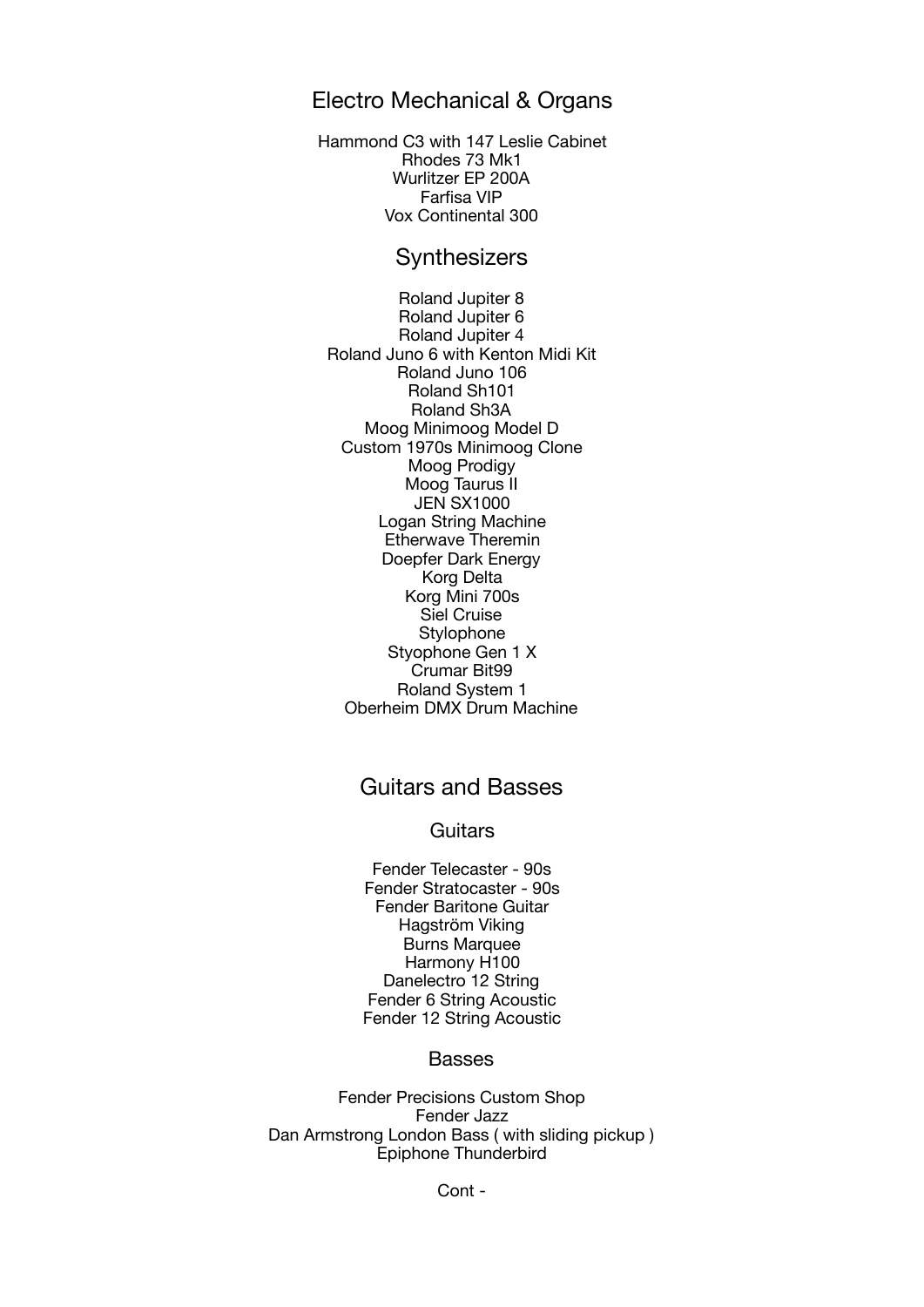## Electro Mechanical & Organs

Hammond C3 with 147 Leslie Cabinet Rhodes 73 Mk1 Wurlitzer EP 200A Farfisa VIP Vox Continental 300

## **Synthesizers**

Roland Jupiter 8 Roland Jupiter 6 Roland Jupiter 4 Roland Juno 6 with Kenton Midi Kit Roland Juno 106 Roland Sh101 Roland Sh3A Moog Minimoog Model D Custom 1970s Minimoog Clone Moog Prodigy Moog Taurus II JEN SX1000 Logan String Machine Etherwave Theremin Doepfer Dark Energy Korg Delta Korg Mini 700s Siel Cruise **Stylophone** Styophone Gen 1 X Crumar Bit99 Roland System 1 Oberheim DMX Drum Machine

## Guitars and Basses

#### **Guitars**

Fender Telecaster - 90s Fender Stratocaster - 90s Fender Baritone Guitar Hagström Viking Burns Marquee Harmony H100 Danelectro 12 String Fender 6 String Acoustic Fender 12 String Acoustic

#### Basses

Fender Precisions Custom Shop Fender Jazz Dan Armstrong London Bass ( with sliding pickup ) Epiphone Thunderbird

Cont -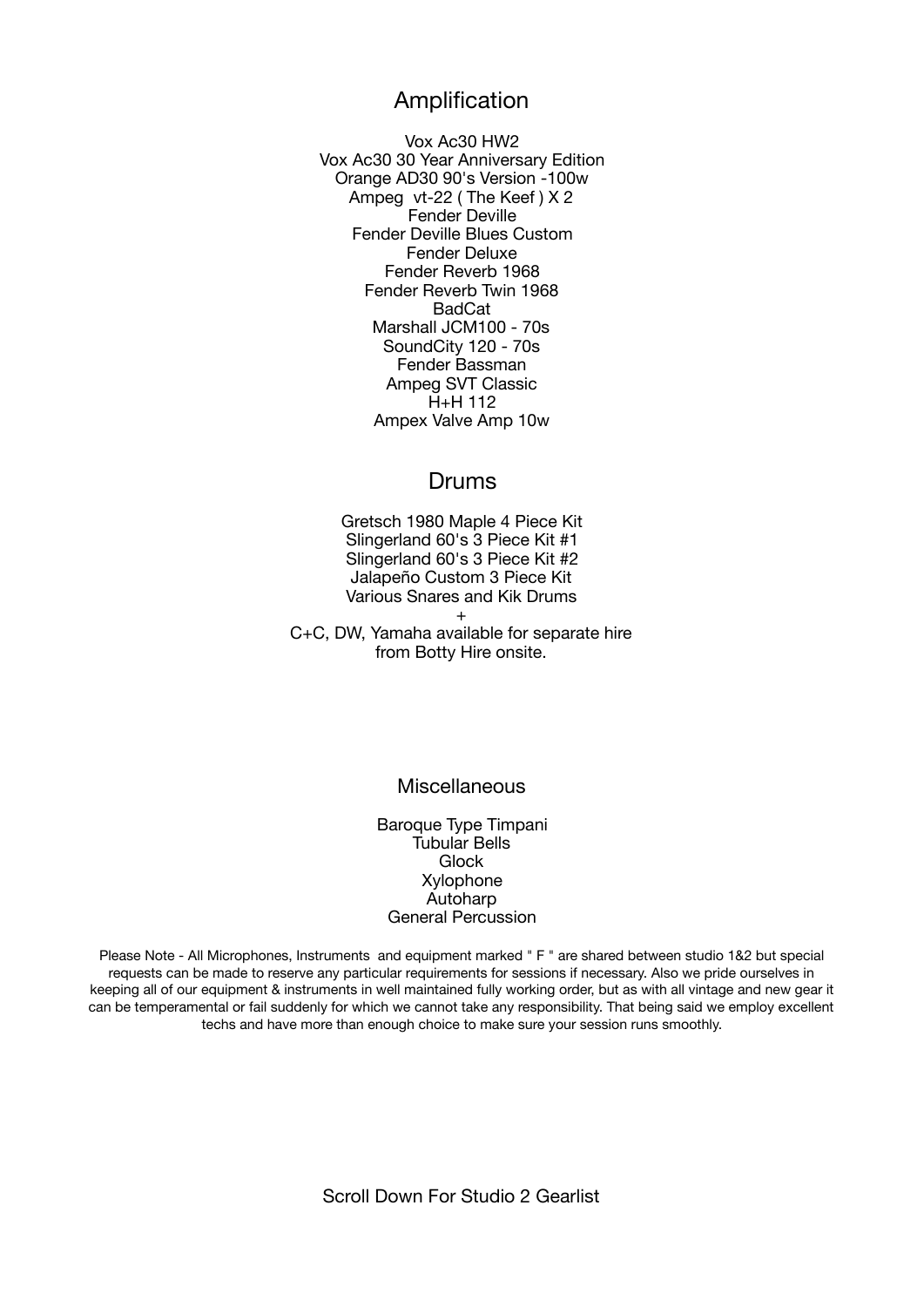## Amplification

Vox Ac30 HW2 Vox Ac30 30 Year Anniversary Edition Orange AD30 90's Version -100w Ampeg vt-22 ( The Keef ) X 2 Fender Deville Fender Deville Blues Custom Fender Deluxe Fender Reverb 1968 Fender Reverb Twin 1968 BadCat Marshall JCM100 - 70s SoundCity 120 - 70s Fender Bassman Ampeg SVT Classic H+H 112 Ampex Valve Amp 10w

## Drums

Gretsch 1980 Maple 4 Piece Kit Slingerland 60's 3 Piece Kit #1 Slingerland 60's 3 Piece Kit #2 Jalapeño Custom 3 Piece Kit Various Snares and Kik Drums

+ C+C, DW, Yamaha available for separate hire from Botty Hire onsite.

#### Miscellaneous

Baroque Type Timpani Tubular Bells Glock Xylophone Autoharp General Percussion

Please Note - All Microphones, Instruments and equipment marked " F " are shared between studio 1&2 but special requests can be made to reserve any particular requirements for sessions if necessary. Also we pride ourselves in keeping all of our equipment & instruments in well maintained fully working order, but as with all vintage and new gear it can be temperamental or fail suddenly for which we cannot take any responsibility. That being said we employ excellent techs and have more than enough choice to make sure your session runs smoothly.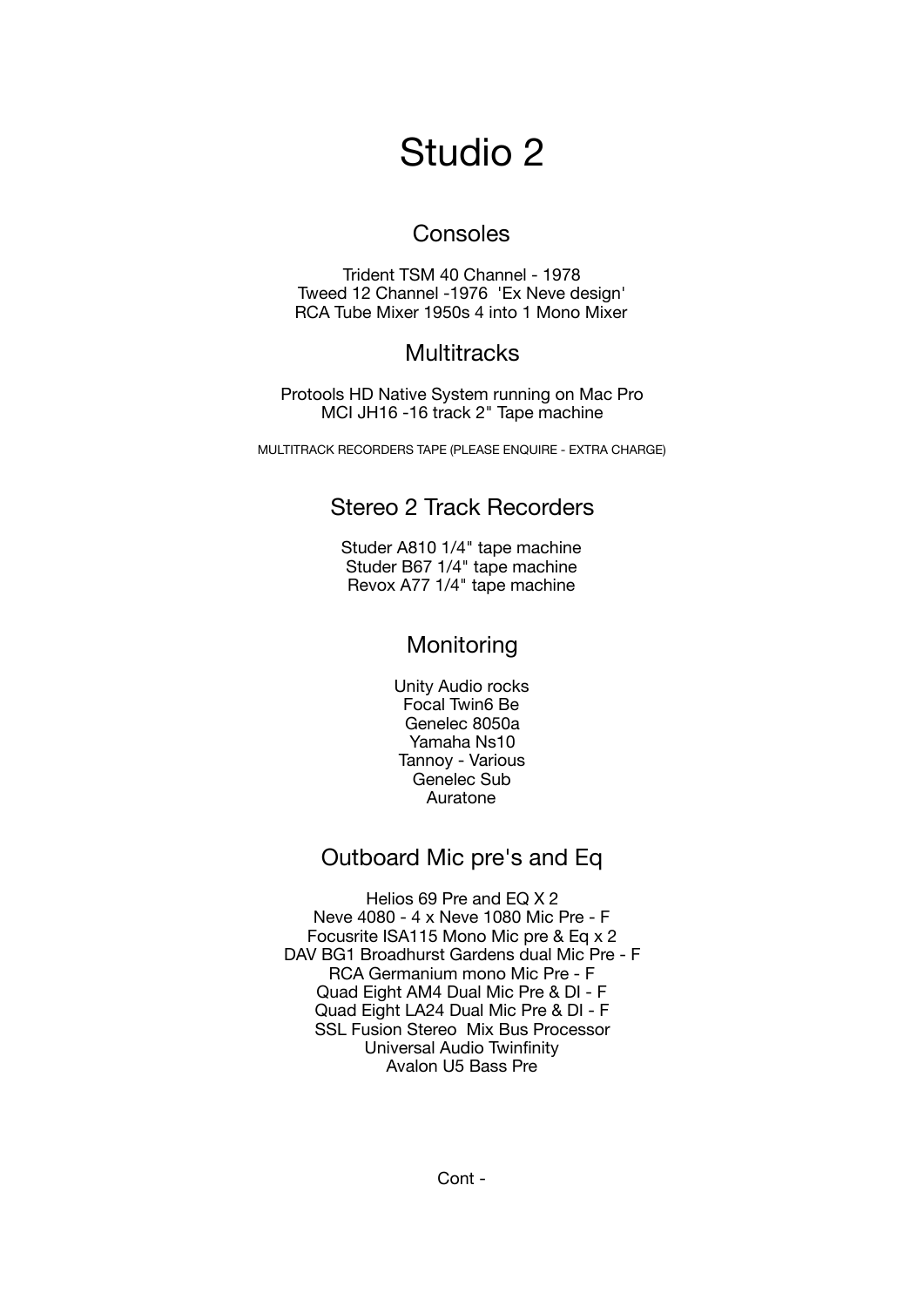# Studio 2

## Consoles

Trident TSM 40 Channel - 1978 Tweed 12 Channel -1976 'Ex Neve design' RCA Tube Mixer 1950s 4 into 1 Mono Mixer

## **Multitracks**

Protools HD Native System running on Mac Pro MCI JH16 -16 track 2" Tape machine

MULTITRACK RECORDERS TAPE (PLEASE ENQUIRE - EXTRA CHARGE)

## Stereo 2 Track Recorders

Studer A810 1/4" tape machine Studer B67 1/4" tape machine Revox A77 1/4" tape machine

# **Monitoring**

Unity Audio rocks Focal Twin6 Be Genelec 8050a Yamaha Ns10 Tannoy - Various Genelec Sub Auratone

# Outboard Mic pre's and Eq

Helios 69 Pre and EQ X 2 Neve 4080 - 4 x Neve 1080 Mic Pre - F Focusrite ISA115 Mono Mic pre & Eq x 2 DAV BG1 Broadhurst Gardens dual Mic Pre - F RCA Germanium mono Mic Pre - F Quad Eight AM4 Dual Mic Pre & DI - F Quad Eight LA24 Dual Mic Pre & DI - F SSL Fusion Stereo Mix Bus Processor Universal Audio Twinfinity Avalon U5 Bass Pre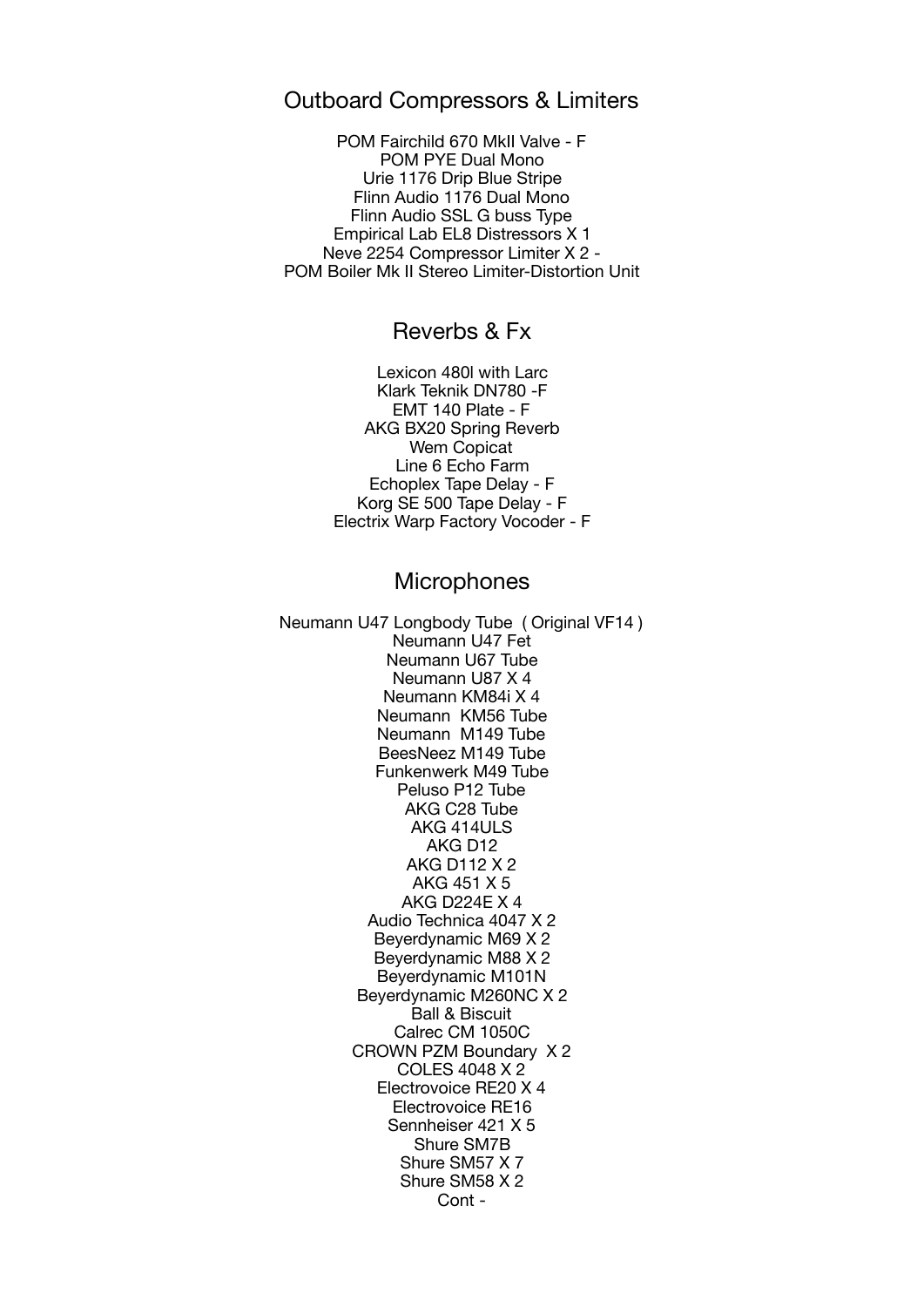### Outboard Compressors & Limiters

POM Fairchild 670 MkII Valve - F POM PYE Dual Mono Urie 1176 Drip Blue Stripe Flinn Audio 1176 Dual Mono Flinn Audio SSL G buss Type Empirical Lab EL8 Distressors X 1 Neve 2254 Compressor Limiter X 2 - POM Boiler Mk II Stereo Limiter-Distortion Unit

## Reverbs & Fx

Lexicon 480l with Larc Klark Teknik DN780 -F EMT 140 Plate - F AKG BX20 Spring Reverb Wem Copicat Line 6 Echo Farm Echoplex Tape Delay - F Korg SE 500 Tape Delay - F Electrix Warp Factory Vocoder - F

#### **Microphones**

Neumann U47 Longbody Tube ( Original VF14 ) Neumann U47 Fet Neumann U67 Tube Neumann U87 X 4 Neumann KM84i X 4 Neumann KM56 Tube Neumann M149 Tube BeesNeez M149 Tube Funkenwerk M49 Tube Peluso P12 Tube AKG C28 Tube AKG 414ULS AKG D12 AKG D112 X 2 AKG 451 X 5 AKG D224E X 4 Audio Technica 4047 X 2 Beyerdynamic M69 X 2 Beyerdynamic M88 X 2 Beyerdynamic M101N Beyerdynamic M260NC X 2 Ball & Biscuit Calrec CM 1050C CROWN PZM Boundary X 2 COLES 4048 X 2 Electrovoice RE20 X 4 Electrovoice RE16 Sennheiser 421 X 5 Shure SM7B Shure SM57 X 7 Shure SM58 X 2 Cont -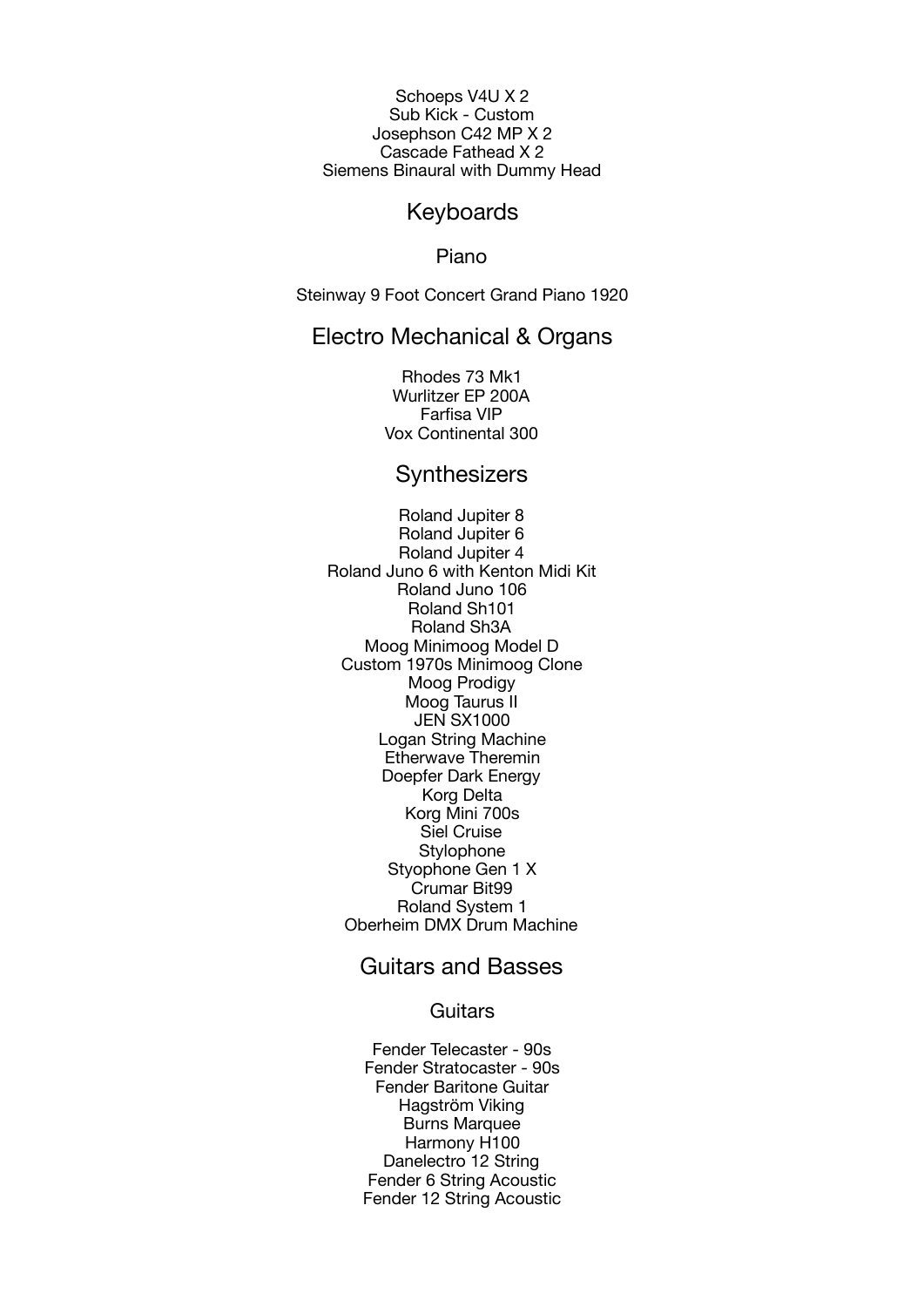Schoeps V4U X 2 Sub Kick - Custom Josephson C42 MP X 2 Cascade Fathead X 2 Siemens Binaural with Dummy Head

#### Keyboards

Piano

Steinway 9 Foot Concert Grand Piano 1920

#### Electro Mechanical & Organs

Rhodes 73 Mk1 Wurlitzer EP 200A Farfisa VIP Vox Continental 300

### **Synthesizers**

Roland Jupiter 8 Roland Jupiter 6 Roland Jupiter 4 Roland Juno 6 with Kenton Midi Kit Roland Juno 106 Roland Sh101 Roland Sh3A Moog Minimoog Model D Custom 1970s Minimoog Clone Moog Prodigy Moog Taurus II JEN SX1000 Logan String Machine Etherwave Theremin Doepfer Dark Energy Korg Delta Korg Mini 700s Siel Cruise **Stylophone** Styophone Gen 1 X Crumar Bit99 Roland System 1 Oberheim DMX Drum Machine

## Guitars and Basses

**Guitars** 

Fender Telecaster - 90s Fender Stratocaster - 90s Fender Baritone Guitar Hagström Viking Burns Marquee Harmony H100 Danelectro 12 String Fender 6 String Acoustic Fender 12 String Acoustic